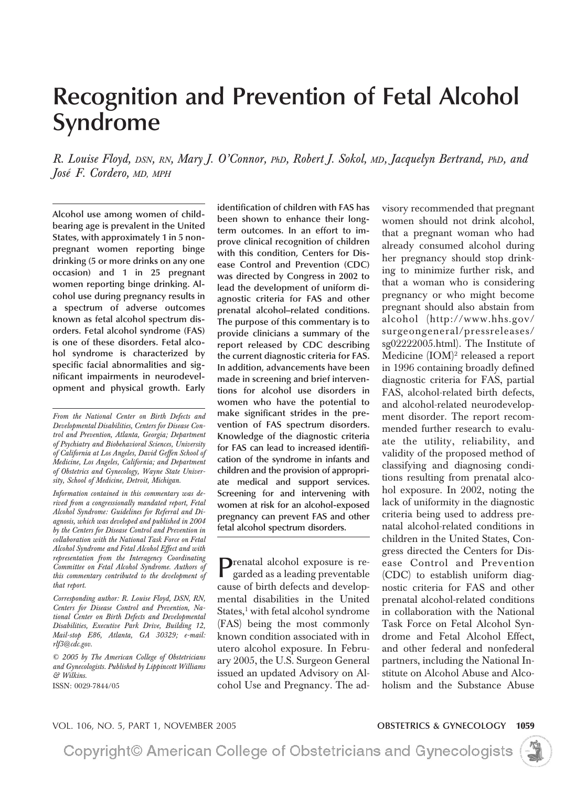# **Recognition and Prevention of Fetal Alcohol Syndrome**

*R. Louise Floyd, DSN, RN, Mary J. O'Connor, PhD, Robert J. Sokol, MD, Jacquelyn Bertrand, PhD, and Jose´ F. Cordero, MD, MPH*

**Alcohol use among women of childbearing age is prevalent in the United States, with approximately 1 in 5 nonpregnant women reporting binge drinking (5 or more drinks on any one occasion) and 1 in 25 pregnant women reporting binge drinking. Alcohol use during pregnancy results in a spectrum of adverse outcomes known as fetal alcohol spectrum disorders. Fetal alcohol syndrome (FAS) is one of these disorders. Fetal alcohol syndrome is characterized by specific facial abnormalities and significant impairments in neurodevelopment and physical growth. Early**

*From the National Center on Birth Defects and Developmental Disabilities, Centers for Disease Control and Prevention, Atlanta, Georgia; Department of Psychiatry and Biobehavioral Sciences, University of California at Los Angeles, David Geffen School of Medicine, Los Angeles, California; and Department of Obstetrics and Gynecology, Wayne State University, School of Medicine, Detroit, Michigan.*

*Information contained in this commentary was derived from a congressionally mandated report, Fetal Alcohol Syndrome: Guidelines for Referral and Diagnosis, which was developed and published in 2004 by the Centers for Disease Control and Prevention in collaboration with the National Task Force on Fetal Alcohol Syndrome and Fetal Alcohol Effect and with representation from the Interagency Coordinating Committee on Fetal Alcohol Syndrome. Authors of this commentary contributed to the development of that report.*

*Corresponding author: R. Louise Floyd, DSN, RN, Centers for Disease Control and Prevention, National Center on Birth Defects and Developmental Disabilities, Executive Park Drive, Building 12, Mail-stop E86, Atlanta, GA 30329; e-mail: rlf3@cdc.gov.*

*© 2005 by The American College of Obstetricians and Gynecologists. Published by Lippincott Williams & Wilkins.*

ISSN: 0029-7844/05

**identification of children with FAS has been shown to enhance their longterm outcomes. In an effort to improve clinical recognition of children with this condition, Centers for Disease Control and Prevention (CDC) was directed by Congress in 2002 to lead the development of uniform diagnostic criteria for FAS and other prenatal alcohol–related conditions. The purpose of this commentary is to provide clinicians a summary of the report released by CDC describing the current diagnostic criteria for FAS. In addition, advancements have been made in screening and brief interventions for alcohol use disorders in women who have the potential to make significant strides in the prevention of FAS spectrum disorders. Knowledge of the diagnostic criteria for FAS can lead to increased identification of the syndrome in infants and children and the provision of appropriate medical and support services. Screening for and intervening with women at risk for an alcohol-exposed pregnancy can prevent FAS and other fetal alcohol spectrum disorders.**

**Prenatal alcohol exposure is re-**<br>garded as a last  $\frac{1}{2}$ garded as a leading preventable cause of birth defects and developmental disabilities in the United States, $<sup>1</sup>$  with fetal alcohol syndrome</sup> (FAS) being the most commonly known condition associated with in utero alcohol exposure. In February 2005, the U.S. Surgeon General issued an updated Advisory on Alcohol Use and Pregnancy. The advisory recommended that pregnant women should not drink alcohol, that a pregnant woman who had already consumed alcohol during her pregnancy should stop drinking to minimize further risk, and that a woman who is considering pregnancy or who might become pregnant should also abstain from alcohol (http://www.hhs.gov/ surgeongeneral/pressreleases/ sg02222005.html). The Institute of Medicine (IOM)<sup>2</sup> released a report in 1996 containing broadly defined diagnostic criteria for FAS, partial FAS, alcohol-related birth defects, and alcohol-related neurodevelopment disorder. The report recommended further research to evaluate the utility, reliability, and validity of the proposed method of classifying and diagnosing conditions resulting from prenatal alcohol exposure. In 2002, noting the lack of uniformity in the diagnostic criteria being used to address prenatal alcohol-related conditions in children in the United States, Congress directed the Centers for Disease Control and Prevention (CDC) to establish uniform diagnostic criteria for FAS and other prenatal alcohol-related conditions in collaboration with the National Task Force on Fetal Alcohol Syndrome and Fetal Alcohol Effect, and other federal and nonfederal partners, including the National Institute on Alcohol Abuse and Alcoholism and the Substance Abuse

#### VOL. 106, NO. 5, PART 1, NOVEMBER 2005 **OBSTETRICS & GYNECOLOGY 1059**

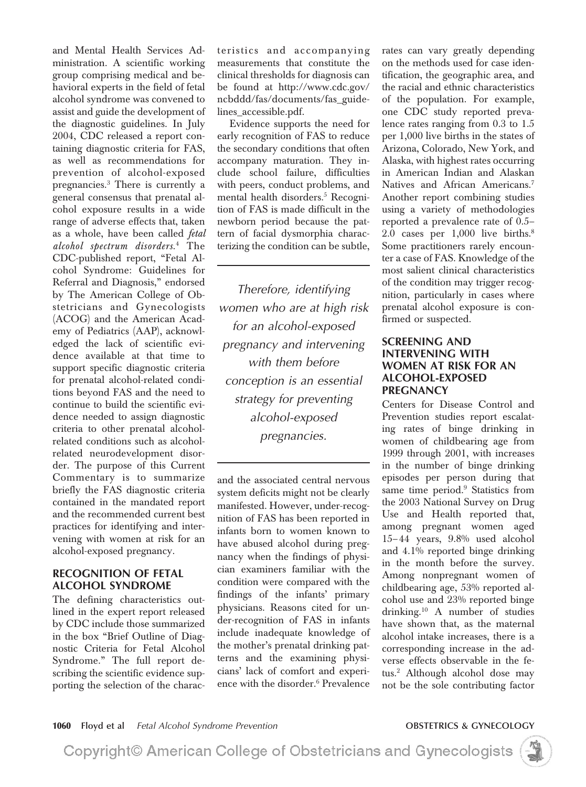and Mental Health Services Administration. A scientific working group comprising medical and behavioral experts in the field of fetal alcohol syndrome was convened to assist and guide the development of the diagnostic guidelines. In July 2004, CDC released a report containing diagnostic criteria for FAS, as well as recommendations for prevention of alcohol-exposed pregnancies.3 There is currently a general consensus that prenatal alcohol exposure results in a wide range of adverse effects that, taken as a whole, have been called *fetal alcohol spectrum disorders*. <sup>4</sup> The CDC-published report, "Fetal Alcohol Syndrome: Guidelines for Referral and Diagnosis," endorsed by The American College of Obstetricians and Gynecologists (ACOG) and the American Academy of Pediatrics (AAP), acknowledged the lack of scientific evidence available at that time to support specific diagnostic criteria for prenatal alcohol-related conditions beyond FAS and the need to continue to build the scientific evidence needed to assign diagnostic criteria to other prenatal alcoholrelated conditions such as alcoholrelated neurodevelopment disorder. The purpose of this Current Commentary is to summarize briefly the FAS diagnostic criteria contained in the mandated report and the recommended current best practices for identifying and intervening with women at risk for an alcohol-exposed pregnancy.

### **RECOGNITION OF FETAL ALCOHOL SYNDROME**

The defining characteristics outlined in the expert report released by CDC include those summarized in the box "Brief Outline of Diagnostic Criteria for Fetal Alcohol Syndrome." The full report describing the scientific evidence supporting the selection of the characteristics and accompanying measurements that constitute the clinical thresholds for diagnosis can be found at http://www.cdc.gov/ ncbddd/fas/documents/fas\_guidelines\_accessible.pdf.

Evidence supports the need for early recognition of FAS to reduce the secondary conditions that often accompany maturation. They include school failure, difficulties with peers, conduct problems, and mental health disorders.<sup>5</sup> Recognition of FAS is made difficult in the newborn period because the pattern of facial dysmorphia characterizing the condition can be subtle,

*Therefore, identifying women who are at high risk for an alcohol-exposed pregnancy and intervening with them before conception is an essential strategy for preventing alcohol-exposed pregnancies.*

and the associated central nervous system deficits might not be clearly manifested. However, under-recognition of FAS has been reported in infants born to women known to have abused alcohol during pregnancy when the findings of physician examiners familiar with the condition were compared with the findings of the infants' primary physicians. Reasons cited for under-recognition of FAS in infants include inadequate knowledge of the mother's prenatal drinking patterns and the examining physicians' lack of comfort and experience with the disorder.6 Prevalence

rates can vary greatly depending on the methods used for case identification, the geographic area, and the racial and ethnic characteristics of the population. For example, one CDC study reported prevalence rates ranging from 0.3 to 1.5 per 1,000 live births in the states of Arizona, Colorado, New York, and Alaska, with highest rates occurring in American Indian and Alaskan Natives and African Americans.<sup>7</sup> Another report combining studies using a variety of methodologies reported a prevalence rate of 0.5– 2.0 cases per 1,000 live births.8 Some practitioners rarely encounter a case of FAS. Knowledge of the most salient clinical characteristics of the condition may trigger recognition, particularly in cases where prenatal alcohol exposure is confirmed or suspected.

#### **SCREENING AND INTERVENING WITH WOMEN AT RISK FOR AN ALCOHOL-EXPOSED PREGNANCY**

Centers for Disease Control and Prevention studies report escalating rates of binge drinking in women of childbearing age from 1999 through 2001, with increases in the number of binge drinking episodes per person during that same time period.<sup>9</sup> Statistics from the 2003 National Survey on Drug Use and Health reported that, among pregnant women aged 15– 44 years, 9.8% used alcohol and 4.1% reported binge drinking in the month before the survey. Among nonpregnant women of childbearing age, 53% reported alcohol use and 23% reported binge drinking.10 A number of studies have shown that, as the maternal alcohol intake increases, there is a corresponding increase in the adverse effects observable in the fetus.2 Although alcohol dose may not be the sole contributing factor

**1060 Floyd et al** *Fetal Alcohol Syndrome Prevention* **OBSTETRICS & GYNECOLOGY**

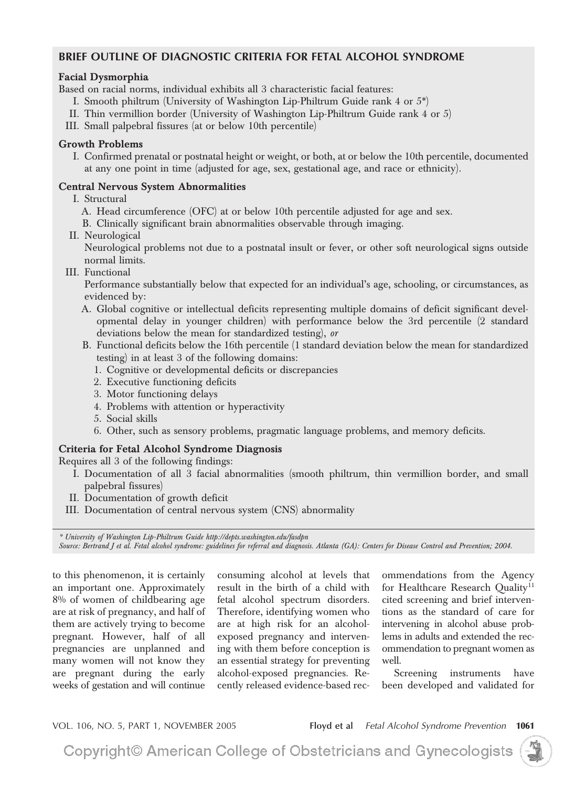#### **BRIEF OUTLINE OF DIAGNOSTIC CRITERIA FOR FETAL ALCOHOL SYNDROME**

#### **Facial Dysmorphia**

Based on racial norms, individual exhibits all 3 characteristic facial features:

- I. Smooth philtrum (University of Washington Lip-Philtrum Guide rank 4 or 5\*)
- II. Thin vermillion border (University of Washington Lip-Philtrum Guide rank 4 or 5)
- III. Small palpebral fissures (at or below 10th percentile)

### **Growth Problems**

I. Confirmed prenatal or postnatal height or weight, or both, at or below the 10th percentile, documented at any one point in time (adjusted for age, sex, gestational age, and race or ethnicity).

#### **Central Nervous System Abnormalities**

- I. Structural
	- A. Head circumference (OFC) at or below 10th percentile adjusted for age and sex.
	- B. Clinically significant brain abnormalities observable through imaging.
- II. Neurological

Neurological problems not due to a postnatal insult or fever, or other soft neurological signs outside normal limits.

III. Functional

Performance substantially below that expected for an individual's age, schooling, or circumstances, as evidenced by:

- A. Global cognitive or intellectual deficits representing multiple domains of deficit significant developmental delay in younger children) with performance below the 3rd percentile (2 standard deviations below the mean for standardized testing), *or*
- B. Functional deficits below the 16th percentile (1 standard deviation below the mean for standardized testing) in at least 3 of the following domains:
	- 1. Cognitive or developmental deficits or discrepancies
	- 2. Executive functioning deficits
	- 3. Motor functioning delays
	- 4. Problems with attention or hyperactivity
	- 5. Social skills
	- 6. Other, such as sensory problems, pragmatic language problems, and memory deficits.

### **Criteria for Fetal Alcohol Syndrome Diagnosis**

Requires all 3 of the following findings:

- I. Documentation of all 3 facial abnormalities (smooth philtrum, thin vermillion border, and small palpebral fissures)
- II. Documentation of growth deficit
- III. Documentation of central nervous system (CNS) abnormality

*\* University of Washington Lip-Philtrum Guide http://depts.washington.edu/fasdpn*

*Source: Bertrand J et al. Fetal alcohol syndrome: guidelines for referral and diagnosis. Atlanta (GA): Centers for Disease Control and Prevention; 2004.*

to this phenomenon, it is certainly an important one. Approximately 8% of women of childbearing age are at risk of pregnancy, and half of them are actively trying to become pregnant. However, half of all pregnancies are unplanned and many women will not know they are pregnant during the early weeks of gestation and will continue

consuming alcohol at levels that result in the birth of a child with fetal alcohol spectrum disorders. Therefore, identifying women who are at high risk for an alcoholexposed pregnancy and intervening with them before conception is an essential strategy for preventing alcohol-exposed pregnancies. Recently released evidence-based rec-

ommendations from the Agency for Healthcare Research Quality<sup>11</sup> cited screening and brief interventions as the standard of care for intervening in alcohol abuse problems in adults and extended the recommendation to pregnant women as well.

Screening instruments have been developed and validated for

VOL. 106, NO. 5, PART 1, NOVEMBER 2005 **Floyd et al** *Fetal Alcohol Syndrome Prevention* **1061**

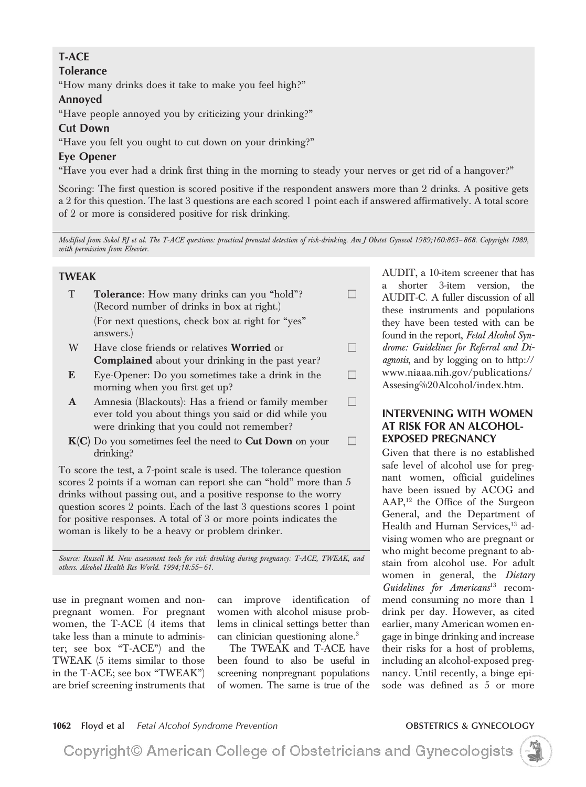### **T-ACE**

#### **Tolerance**

"How many drinks does it take to make you feel high?"

#### **Annoyed**

"Have people annoyed you by criticizing your drinking?"

### **Cut Down**

"Have you felt you ought to cut down on your drinking?"

### **Eye Opener**

"Have you ever had a drink first thing in the morning to steady your nerves or get rid of a hangover?"

Scoring: The first question is scored positive if the respondent answers more than 2 drinks. A positive gets a 2 for this question. The last 3 questions are each scored 1 point each if answered affirmatively. A total score of 2 or more is considered positive for risk drinking.

*Modified from Sokol RJ et al. The T-ACE questions: practical prenatal detection of risk-drinking. Am J Obstet Gynecol 1989;160:863– 868. Copyright 1989, with permission from Elsevier.*

 $\Box$ 

 $\Box$ 

#### **TWEAK**

|   | <b>Tolerance:</b> How many drinks can you "hold"?<br>(Record number of drinks in box at right.) |  |
|---|-------------------------------------------------------------------------------------------------|--|
|   | (For next questions, check box at right for "yes"<br>answers.)                                  |  |
| W | Have close friends or relatives Worried or                                                      |  |

- **Complained** about your drinking in the past year?
- **E** Eye-Opener: Do you sometimes take a drink in the morning when you first get up?
- **A** Amnesia (Blackouts): Has a friend or family member ever told you about things you said or did while you were drinking that you could not remember?
- **K(C)** Do you sometimes feel the need to **Cut Down** on your drinking? П

To score the test, a 7-point scale is used. The tolerance question scores 2 points if a woman can report she can "hold" more than 5 drinks without passing out, and a positive response to the worry question scores 2 points. Each of the last 3 questions scores 1 point for positive responses. A total of 3 or more points indicates the woman is likely to be a heavy or problem drinker.

*Source: Russell M. New assessment tools for risk drinking during pregnancy: T-ACE, TWEAK, and others. Alcohol Health Res World. 1994;18:55– 61.*

use in pregnant women and nonpregnant women. For pregnant women, the T-ACE (4 items that take less than a minute to administer; see box "T-ACE") and the TWEAK (5 items similar to those in the T-ACE; see box "TWEAK") are brief screening instruments that can improve identification of women with alcohol misuse problems in clinical settings better than can clinician questioning alone.<sup>3</sup>

The TWEAK and T-ACE have been found to also be useful in screening nonpregnant populations of women. The same is true of the

AUDIT, a 10-item screener that has a shorter 3-item version, the AUDIT-C. A fuller discussion of all these instruments and populations they have been tested with can be found in the report, *Fetal Alcohol Syndrome: Guidelines for Referral and Diagnosis*, and by logging on to http:// www.niaaa.nih.gov/publications/ Assesing%20Alcohol/index.htm.

#### **INTERVENING WITH WOMEN AT RISK FOR AN ALCOHOL-EXPOSED PREGNANCY**

Given that there is no established safe level of alcohol use for pregnant women, official guidelines have been issued by ACOG and AAP,<sup>12</sup> the Office of the Surgeon General, and the Department of Health and Human Services,<sup>13</sup> advising women who are pregnant or who might become pregnant to abstain from alcohol use. For adult women in general, the *Dietary Guidelines for Americans*<sup>13</sup> recommend consuming no more than 1 drink per day. However, as cited earlier, many American women engage in binge drinking and increase their risks for a host of problems, including an alcohol-exposed pregnancy. Until recently, a binge episode was defined as 5 or more

#### **1062 Floyd et al** *Fetal Alcohol Syndrome Prevention* **OBSTETRICS & GYNECOLOGY**

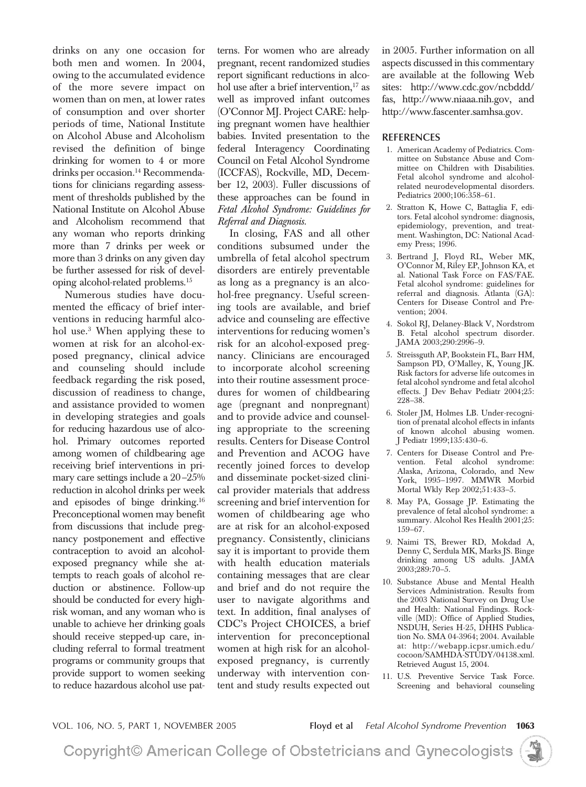drinks on any one occasion for both men and women. In 2004, owing to the accumulated evidence of the more severe impact on women than on men, at lower rates of consumption and over shorter periods of time, National Institute on Alcohol Abuse and Alcoholism revised the definition of binge drinking for women to 4 or more drinks per occasion.<sup>14</sup> Recommendations for clinicians regarding assessment of thresholds published by the National Institute on Alcohol Abuse and Alcoholism recommend that any woman who reports drinking more than 7 drinks per week or more than 3 drinks on any given day be further assessed for risk of developing alcohol-related problems.15

Numerous studies have documented the efficacy of brief interventions in reducing harmful alcohol use.3 When applying these to women at risk for an alcohol-exposed pregnancy, clinical advice and counseling should include feedback regarding the risk posed, discussion of readiness to change, and assistance provided to women in developing strategies and goals for reducing hazardous use of alcohol. Primary outcomes reported among women of childbearing age receiving brief interventions in primary care settings include a 20–25% reduction in alcohol drinks per week and episodes of binge drinking.16 Preconceptional women may benefit from discussions that include pregnancy postponement and effective contraception to avoid an alcoholexposed pregnancy while she attempts to reach goals of alcohol reduction or abstinence. Follow-up should be conducted for every highrisk woman, and any woman who is unable to achieve her drinking goals should receive stepped-up care, including referral to formal treatment programs or community groups that provide support to women seeking to reduce hazardous alcohol use patterns. For women who are already pregnant, recent randomized studies report significant reductions in alcohol use after a brief intervention, $17$  as well as improved infant outcomes (O'Connor MJ. Project CARE: helping pregnant women have healthier babies. Invited presentation to the federal Interagency Coordinating Council on Fetal Alcohol Syndrome (ICCFAS), Rockville, MD, December 12, 2003). Fuller discussions of these approaches can be found in *Fetal Alcohol Syndrome: Guidelines for Referral and Diagnosis.*

In closing, FAS and all other conditions subsumed under the umbrella of fetal alcohol spectrum disorders are entirely preventable as long as a pregnancy is an alcohol-free pregnancy. Useful screening tools are available, and brief advice and counseling are effective interventions for reducing women's risk for an alcohol-exposed pregnancy. Clinicians are encouraged to incorporate alcohol screening into their routine assessment procedures for women of childbearing age (pregnant and nonpregnant) and to provide advice and counseling appropriate to the screening results. Centers for Disease Control and Prevention and ACOG have recently joined forces to develop and disseminate pocket-sized clinical provider materials that address screening and brief intervention for women of childbearing age who are at risk for an alcohol-exposed pregnancy. Consistently, clinicians say it is important to provide them with health education materials containing messages that are clear and brief and do not require the user to navigate algorithms and text. In addition, final analyses of CDC's Project CHOICES, a brief intervention for preconceptional women at high risk for an alcoholexposed pregnancy, is currently underway with intervention content and study results expected out

in 2005. Further information on all aspects discussed in this commentary are available at the following Web sites: http://www.cdc.gov/ncbddd/ fas, http://www.niaaa.nih.gov, and http://www.fascenter.samhsa.gov.

#### **REFERENCES**

- 1. American Academy of Pediatrics. Committee on Substance Abuse and Committee on Children with Disabilities. Fetal alcohol syndrome and alcoholrelated neurodevelopmental disorders. Pediatrics 2000;106:358–61.
- 2. Stratton K, Howe C, Battaglia F, editors. Fetal alcohol syndrome: diagnosis, epidemiology, prevention, and treatment. Washington, DC: National Academy Press; 1996.
- 3. Bertrand J, Floyd RL, Weber MK, O'Connor M, Riley EP, Johnson KA, et al. National Task Force on FAS/FAE. Fetal alcohol syndrome: guidelines for referral and diagnosis. Atlanta (GA): Centers for Disease Control and Prevention; 2004.
- 4. Sokol RJ, Delaney-Black V, Nordstrom B. Fetal alcohol spectrum disorder. JAMA 2003;290:2996–9.
- 5. Streissguth AP, Bookstein FL, Barr HM, Sampson PD, O'Malley, K, Young JK. Risk factors for adverse life outcomes in fetal alcohol syndrome and fetal alcohol effects. J Dev Behav Pediatr 2004;25: 228–38.
- 6. Stoler JM, Holmes LB. Under-recognition of prenatal alcohol effects in infants of known alcohol abusing women. J Pediatr 1999;135:430–6.
- 7. Centers for Disease Control and Prevention. Fetal alcohol syndrome: Alaska, Arizona, Colorado, and New York, 1995–1997. MMWR Morbid Mortal Wkly Rep 2002;51:433–5.
- 8. May PA, Gossage JP. Estimating the prevalence of fetal alcohol syndrome: a summary. Alcohol Res Health 2001;25: 159–67.
- 9. Naimi TS, Brewer RD, Mokdad A, Denny C, Serdula MK, Marks JS. Binge drinking among US adults. JAMA 2003;289:70–5.
- 10. Substance Abuse and Mental Health Services Administration. Results from the 2003 National Survey on Drug Use and Health: National Findings. Rockville (MD): Office of Applied Studies, NSDUH, Series H-25, DHHS Publication No. SMA 04-3964; 2004. Available at: http://webapp.icpsr.umich.edu/ cocoon/SAMHDA-STUDY/04138.xml. Retrieved August 15, 2004.
- 11. U.S. Preventive Service Task Force. Screening and behavioral counseling

VOL. 106, NO. 5, PART 1, NOVEMBER 2005 **Floyd et al** *Fetal Alcohol Syndrome Prevention* **1063**